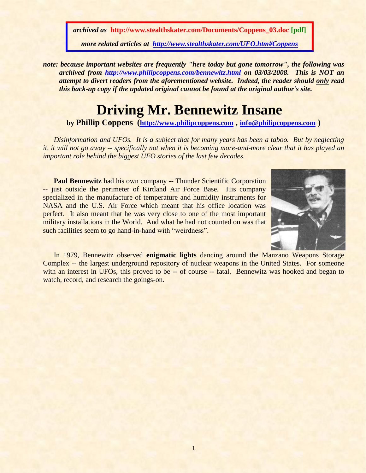*archived as* **http://www.stealthskater.com/Documents/Coppens\_03.doc [pdf]** *more related articles at <http://www.stealthskater.com/UFO.htm#Coppens>*

*note: because important websites are frequently "here today but gone tomorrow", the following was archived from<http://www.philipcoppens.com/bennewitz.html> on 03/03/2008. This is NOT an attempt to divert readers from the aforementioned website. Indeed, the reader should only read this back-up copy if the updated original cannot be found at the original author's site.*

## **Driving Mr. Bennewitz Insane**

**by Phillip Coppens ([http://www.philipcoppens.com](http://www.philipcoppens.com/) , [info@philipcoppens.com](mailto:info@philipcoppens.com) )**

*Disinformation and UFOs. It is a subject that for many years has been a taboo. But by neglecting it, it will not go away -- specifically not when it is becoming more-and-more clear that it has played an important role behind the biggest UFO stories of the last few decades.*

**Paul Bennewitz** had his own company -- Thunder Scientific Corporation -- just outside the perimeter of Kirtland Air Force Base. His company specialized in the manufacture of temperature and humidity instruments for NASA and the U.S. Air Force which meant that his office location was perfect. It also meant that he was very close to one of the most important military installations in the World. And what he had not counted on was that such facilities seem to go hand-in-hand with "weirdness".



In 1979, Bennewitz observed **enigmatic lights** dancing around the Manzano Weapons Storage Complex -- the largest underground repository of nuclear weapons in the United States. For someone with an interest in UFOs, this proved to be -- of course -- fatal. Bennewitz was hooked and began to watch, record, and research the goings-on.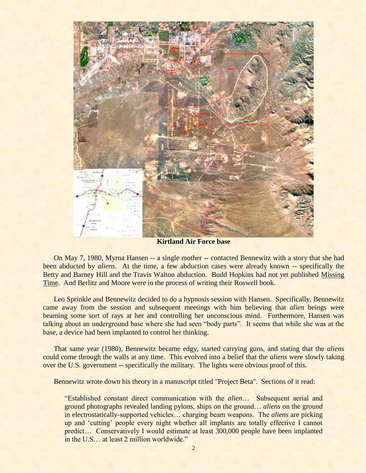

**Kirtland Air Force base**

On May 7, 1980, Myrna Hansen -- a single mother -- contacted Bennewitz with a story that she had been abducted by *aliens*. At the time, a few abduction cases were already known -- specifically the Betty and Barney Hill and the Travis Walton abduction. Budd Hopkins had not yet published Missing Time. And Berlitz and Moore were in the process of writing their Roswell book.

Leo Sprinkle and Bennewitz decided to do a hypnosis session with Hansen. Specifically, Bennewitz came away from the session and subsequent meetings with him believing that *alien* beings were beaming some sort of rays at her and controlling her unconscious mind. Furthermore, Hansen was talking about an underground base where she had seen "body parts". It seems that while she was at the base, a device had been implanted to control her thinking.

That same year (1980), Bennewitz became edgy, started carrying guns, and stating that the *aliens* could come through the walls at any time. This evolved into a belief that the *aliens* were slowly taking over the U.S. government -- specifically the military. The lights were obvious proof of this.

Bennewitz wrote down his theory in a manuscript titled "Project Beta". Sections of it read:

"Established constant direct communication with the *alien*… Subsequent aerial and ground photographs revealed landing pylons, ships on the ground… *aliens* on the ground in electrostatically-supported vehicles… charging beam weapons. The *aliens* are picking up and 'cutting' people every night whether all implants are totally effective I cannot predict… Conservatively I would estimate at least 300,000 people have been implanted in the U.S… at least 2 million worldwide."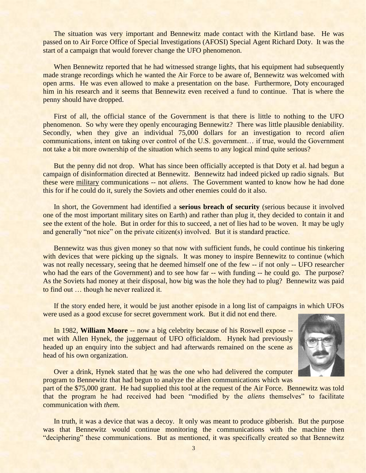The situation was very important and Bennewitz made contact with the Kirtland base. He was passed on to Air Force Office of Special Investigations (AFOSI) Special Agent Richard Doty. It was the start of a campaign that would forever change the UFO phenomenon.

When Bennewitz reported that he had witnessed strange lights, that his equipment had subsequently made strange recordings which he wanted the Air Force to be aware of, Bennewitz was welcomed with open arms. He was even allowed to make a presentation on the base. Furthermore, Doty encouraged him in his research and it seems that Bennewitz even received a fund to continue. That is where the penny should have dropped.

First of all, the official stance of the Government is that there is little to nothing to the UFO phenomenon. So why were they openly encouraging Bennewitz? There was little plausible deniability. Secondly, when they give an individual 75,000 dollars for an investigation to record *alien* communications, intent on taking over control of the U.S. government… if true, would the Government not take a bit more ownership of the situation which seems to any logical mind quite serious?

But the penny did not drop. What has since been officially accepted is that Doty et al. had begun a campaign of disinformation directed at Bennewitz. Bennewitz had indeed picked up radio signals. But these were military communications -- not *aliens*. The Government wanted to know how he had done this for if he could do it, surely the Soviets and other enemies could do it also.

In short, the Government had identified a **serious breach of security** (serious because it involved one of the most important military sites on Earth) and rather than plug it, they decided to contain it and see the extent of the hole. But in order for this to succeed, a net of lies had to be woven. It may be ugly and generally "not nice" on the private citizen(s) involved. But it is standard practice.

Bennewitz was thus given money so that now with sufficient funds, he could continue his tinkering with devices that were picking up the signals. It was money to inspire Bennewitz to continue (which was not really necessary, seeing that he deemed himself one of the few -- if not only -- UFO researcher who had the ears of the Government) and to see how far -- with funding -- he could go. The purpose? As the Soviets had money at their disposal, how big was the hole they had to plug? Bennewitz was paid to find out … though he never realized it.

If the story ended here, it would be just another episode in a long list of campaigns in which UFOs were used as a good excuse for secret government work. But it did not end there.

In 1982, **William Moore** -- now a big celebrity because of his Roswell expose - met with Allen Hynek, the juggernaut of UFO officialdom. Hynek had previously headed up an enquiry into the subject and had afterwards remained on the scene as head of his own organization.



Over a drink, Hynek stated that he was the one who had delivered the computer program to Bennewitz that had begun to analyze the alien communications which was

part of the \$75,000 grant. He had supplied this tool at the request of the Air Force. Bennewitz was told that the program he had received had been "modified by the *aliens* themselves" to facilitate communication with *them*.

In truth, it was a device that was a decoy. It only was meant to produce gibberish. But the purpose was that Bennewitz would continue monitoring the communications with the machine then "deciphering" these communications. But as mentioned, it was specifically created so that Bennewitz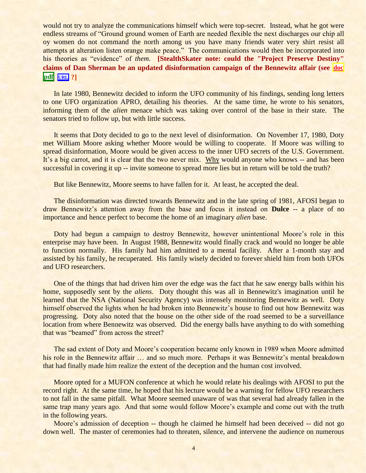would not try to analyze the communications himself which were top-secret. Instead, what he got were endless streams of "Ground ground women of Earth are needed flexible the next discharges our chip all oy women do not command the north among us you have many friends water very shirt resist all attempts at alteration listen orange make peace." The communications would then be incorporated into his theories as "evidence" of *them*. **[StealthSkater note: could the "Project Preserve Destiny" claims of Dan Sherman be an updated disinformation campaign of the Bennewitz affair (see [doc](../../Stealthskater/Sherman.doc) [pdf](../../Stealthskater_PDF/Sherman.pdf)****[URL](http://www.stealthskater.com/Sherman.htm) ?]**

In late 1980, Bennewitz decided to inform the UFO community of his findings, sending long letters to one UFO organization APRO, detailing his theories. At the same time, he wrote to his senators, informing them of the *alien* menace which was taking over control of the base in their state. The senators tried to follow up, but with little success.

It seems that Doty decided to go to the next level of disinformation. On November 17, 1980, Doty met William Moore asking whether Moore would be willing to cooperate. If Moore was willing to spread disinformation, Moore would be given access to the inner UFO secrets of the U.S. Government. It's a big carrot, and it is clear that the two never mix. Why would anyone who knows -- and has been successful in covering it up -- invite someone to spread more lies but in return will be told the truth?

But like Bennewitz, Moore seems to have fallen for it. At least, he accepted the deal.

The disinformation was directed towards Bennewitz and in the late spring of 1981, AFOSI began to draw Bennewitz"s attention away from the base and focus it instead on **Dulce** -- a place of no importance and hence perfect to become the home of an imaginary *alien* base.

Doty had begun a campaign to destroy Bennewitz, however unintentional Moore's role in this enterprise may have been. In August 1988, Bennewitz would finally crack and would no longer be able to function normally. His family had him admitted to a mental facility. After a 1-month stay and assisted by his family, he recuperated. His family wisely decided to forever shield him from both UFOs and UFO researchers.

One of the things that had driven him over the edge was the fact that he saw energy balls within his home, supposedly sent by the *aliens*. Doty thought this was all in Bennewitz's imagination until he learned that the NSA (National Security Agency) was intensely monitoring Bennewitz as well. Doty himself observed the lights when he had broken into Bennewitz's house to find out how Bennewitz was progressing. Doty also noted that the house on the other side of the road seemed to be a surveillance location from where Bennewitz was observed. Did the energy balls have anything to do with something that was "beamed" from across the street?

The sad extent of Doty and Moore's cooperation became only known in 1989 when Moore admitted his role in the Bennewitz affair ... and so much more. Perhaps it was Bennewitz's mental breakdown that had finally made him realize the extent of the deception and the human cost involved.

Moore opted for a MUFON conference at which he would relate his dealings with AFOSI to put the record right. At the same time, he hoped that his lecture would be a warning for fellow UFO researchers to not fall in the same pitfall. What Moore seemed unaware of was that several had already fallen in the same trap many years ago. And that some would follow Moore's example and come out with the truth in the following years.

Moore's admission of deception -- though he claimed he himself had been deceived -- did not go down well. The master of ceremonies had to threaten, silence, and intervene the audience on numerous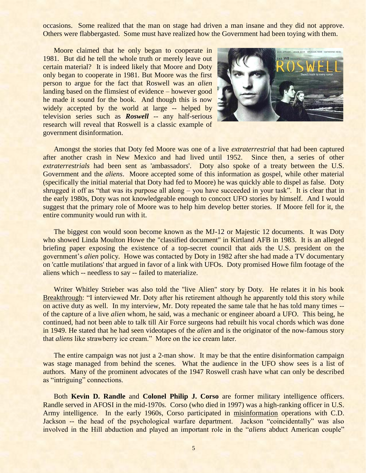occasions. Some realized that the man on stage had driven a man insane and they did not approve. Others were flabbergasted. Some must have realized how the Government had been toying with them.

Moore claimed that he only began to cooperate in 1981. But did he tell the whole truth or merely leave out certain material? It is indeed likely that Moore and Doty only began to cooperate in 1981. But Moore was the first person to argue for the fact that Roswell was an *alien* landing based on the flimsiest of evidence – however good he made it sound for the book. And though this is now widely accepted by the world at large -- helped by television series such as *Roswell* -- any half-serious research will reveal that Roswell is a classic example of government disinformation.



Amongst the stories that Doty fed Moore was one of a live *extraterrestrial* that had been captured after another crash in New Mexico and had lived until 1952. Since then, a series of other *extraterrestrials* had been sent as 'ambassadors'. Doty also spoke of a treaty between the U.S. Government and the *aliens*. Moore accepted some of this information as gospel, while other material (specifically the initial material that Doty had fed to Moore) he was quickly able to dispel as false. Doty shrugged it off as "that was its purpose all along – you have succeeded in your task". It is clear that in the early 1980s, Doty was not knowledgeable enough to concoct UFO stories by himself. And I would suggest that the primary role of Moore was to help him develop better stories. If Moore fell for it, the entire community would run with it.

The biggest con would soon become known as the MJ-12 or Majestic 12 documents. It was Doty who showed Linda Moulton Howe the "classified document" in Kirtland AFB in 1983. It is an alleged briefing paper exposing the existence of a top-secret council that aids the U.S. president on the government's *alien* policy. Howe was contacted by Doty in 1982 after she had made a TV documentary on 'cattle mutilations' that argued in favor of a link with UFOs. Doty promised Howe film footage of the aliens which -- needless to say -- failed to materialize.

Writer Whitley Strieber was also told the "live Alien" story by Doty. He relates it in his book Breakthrough: "I interviewed Mr. Doty after his retirement although he apparently told this story while on active duty as well. In my interview, Mr. Doty repeated the same tale that he has told many times - of the capture of a live *alien* whom, he said, was a mechanic or engineer aboard a UFO. This being, he continued, had not been able to talk till Air Force surgeons had rebuilt his vocal chords which was done in 1949. He stated that he had seen videotapes of the *alien* and is the originator of the now-famous story that *aliens* like strawberry ice cream." More on the ice cream later.

The entire campaign was not just a 2-man show. It may be that the entire disinformation campaign was stage managed from behind the scenes. What the audience in the UFO show sees is a list of authors. Many of the prominent advocates of the 1947 Roswell crash have what can only be described as "intriguing" connections.

Both **Kevin D. Randle** and **Colonel Philip J. Corso** are former military intelligence officers. Randle served in AFOSI in the mid-1970s. Corso (who died in 1997) was a high-ranking officer in U.S. Army intelligence. In the early 1960s, Corso participated in misinformation operations with C.D. Jackson -- the head of the psychological warfare department. Jackson "coincidentally" was also involved in the Hill abduction and played an important role in the "*aliens* abduct American couple"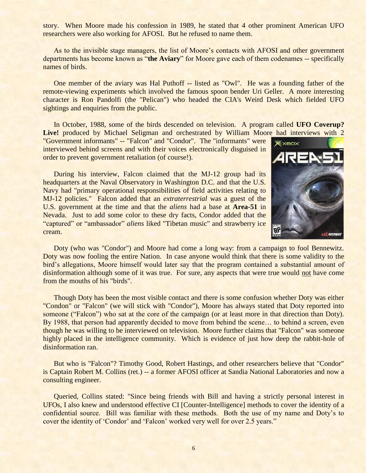story. When Moore made his confession in 1989, he stated that 4 other prominent American UFO researchers were also working for AFOSI. But he refused to name them.

As to the invisible stage managers, the list of Moore"s contacts with AFOSI and other government departments has become known as "**the Aviary**" for Moore gave each of them codenames -- specifically names of birds.

One member of the aviary was Hal Puthoff -- listed as "Owl". He was a founding father of the remote-viewing experiments which involved the famous spoon bender Uri Geller. A more interesting character is Ron Pandolfi (the "Pelican") who headed the CIA's Weird Desk which fielded UFO sightings and enquiries from the public.

In October, 1988, some of the birds descended on television. A program called **UFO Coverup?**  Live! produced by Michael Seligman and orchestrated by William Moore had interviews with 2

"Government informants" -- "Falcon" and "Condor". The "informants" were interviewed behind screens and with their voices electronically disguised in order to prevent government retaliation (of course!).

During his interview, Falcon claimed that the MJ-12 group had its headquarters at the Naval Observatory in Washington D.C. and that the U.S. Navy had "primary operational responsibilities of field activities relating to MJ-12 policies." Falcon added that an *extraterrestrial* was a guest of the U.S. government at the time and that the *aliens* had a base at **Area-51** in Nevada. Just to add some color to these dry facts, Condor added that the "captured" or "ambassador" *aliens* liked "Tibetan music" and strawberry ice cream.



Doty (who was "Condor") and Moore had come a long way: from a campaign to fool Bennewitz. Doty was now fooling the entire Nation. In case anyone would think that there is some validity to the bird"s allegations, Moore himself would later say that the program contained a substantial amount of disinformation although some of it was true. For sure, any aspects that were true would not have come from the mouths of his "birds".

Though Doty has been the most visible contact and there is some confusion whether Doty was either "Condon" or "Falcon" (we will stick with "Condor"), Moore has always stated that Doty reported into someone ("Falcon") who sat at the core of the campaign (or at least more in that direction than Doty). By 1988, that person had apparently decided to move from behind the scene... to behind a screen, even though he was willing to be interviewed on television. Moore further claims that "Falcon" was someone highly placed in the intelligence community. Which is evidence of just how deep the rabbit-hole of disinformation ran.

But who is "Falcon"? Timothy Good, Robert Hastings, and other researchers believe that "Condor" is Captain Robert M. Collins (ret.) -- a former AFOSI officer at Sandia National Laboratories and now a consulting engineer.

Queried, Collins stated: "Since being friends with Bill and having a strictly personal interest in UFOs, I also knew and understood effective CI [Counter-Intelligence] methods to cover the identity of a confidential source. Bill was familiar with these methods. Both the use of my name and Doty"s to cover the identity of 'Condor' and 'Falcon' worked very well for over 2.5 years."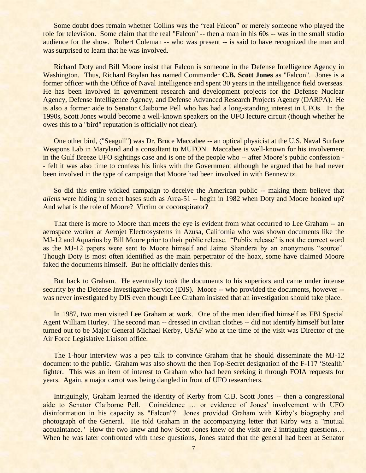Some doubt does remain whether Collins was the "real Falcon" or merely someone who played the role for television. Some claim that the real "Falcon" -- then a man in his 60s -- was in the small studio audience for the show. Robert Coleman -- who was present -- is said to have recognized the man and was surprised to learn that he was involved.

Richard Doty and Bill Moore insist that Falcon is someone in the Defense Intelligence Agency in Washington. Thus, Richard Boylan has named Commander **C.B. Scott Jones** as "Falcon". Jones is a former officer with the Office of Naval Intelligence and spent 30 years in the intelligence field overseas. He has been involved in government research and development projects for the Defense Nuclear Agency, Defense Intelligence Agency, and Defense Advanced Research Projects Agency (DARPA). He is also a former aide to Senator Claiborne Pell who has had a long-standing interest in UFOs. In the 1990s, Scott Jones would become a well-known speakers on the UFO lecture circuit (though whether he owes this to a "bird" reputation is officially not clear).

One other bird, ("Seagull") was Dr. Bruce Maccabee -- an optical physicist at the U.S. Naval Surface Weapons Lab in Maryland and a consultant to MUFON. Maccabee is well-known for his involvement in the Gulf Breeze UFO sightings case and is one of the people who -- after Moore's public confession -- felt it was also time to confess his links with the Government although he argued that he had never been involved in the type of campaign that Moore had been involved in with Bennewitz.

So did this entire wicked campaign to deceive the American public -- making them believe that *aliens* were hiding in secret bases such as Area-51 -- begin in 1982 when Doty and Moore hooked up? And what is the role of Moore? Victim or coconspirator?

That there is more to Moore than meets the eye is evident from what occurred to Lee Graham -- an aerospace worker at Aerojet Electrosystems in Azusa, California who was shown documents like the MJ-12 and Aquarius by Bill Moore prior to their public release. "Publix release" is not the correct word as the MJ-12 papers were sent to Moore himself and Jaime Shandera by an anonymous "source". Though Doty is most often identified as the main perpetrator of the hoax, some have claimed Moore faked the documents himself. But he officially denies this.

But back to Graham. He eventually took the documents to his superiors and came under intense security by the Defense Investigative Service (DIS). Moore -- who provided the documents, however -was never investigated by DIS even though Lee Graham insisted that an investigation should take place.

In 1987, two men visited Lee Graham at work. One of the men identified himself as FBI Special Agent William Hurley. The second man -- dressed in civilian clothes -- did not identify himself but later turned out to be Major General Michael Kerby, USAF who at the time of the visit was Director of the Air Force Legislative Liaison office.

The 1-hour interview was a pep talk to convince Graham that he should disseminate the MJ-12 document to the public. Graham was also shown the then Top-Secret designation of the F-117 'Stealth' fighter. This was an item of interest to Graham who had been seeking it through FOIA requests for years. Again, a major carrot was being dangled in front of UFO researchers.

Intriguingly, Graham learned the identity of Kerby from C.B. Scott Jones -- then a congressional aide to Senator Claiborne Pell. Coincidence ... or evidence of Jones' involvement with UFO disinformation in his capacity as "Falcon"? Jones provided Graham with Kirby's biography and photograph of the General. He told Graham in the accompanying letter that Kirby was a "mutual acquaintance." How the two knew and how Scott Jones knew of the visit are 2 intriguing questions… When he was later confronted with these questions, Jones stated that the general had been at Senator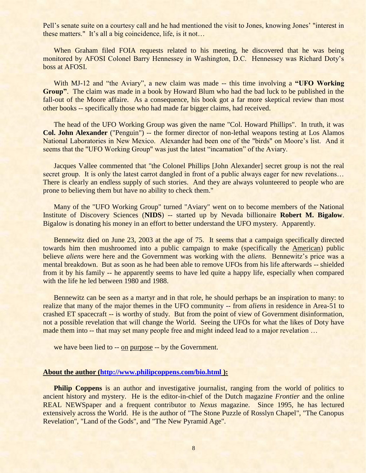Pell"s senate suite on a courtesy call and he had mentioned the visit to Jones, knowing Jones" "interest in these matters." It's all a big coincidence, life, is it not...

When Graham filed FOIA requests related to his meeting, he discovered that he was being monitored by AFOSI Colonel Barry Hennessey in Washington, D.C. Hennessey was Richard Doty"s boss at AFOSI.

With MJ-12 and "the Aviary", a new claim was made -- this time involving a **"UFO Working Group"**. The claim was made in a book by Howard Blum who had the bad luck to be published in the fall-out of the Moore affaire. As a consequence, his book got a far more skeptical review than most other books -- specifically those who had made far bigger claims, had received.

The head of the UFO Working Group was given the name "Col. Howard Phillips". In truth, it was **Col. John Alexander** ("Penguin") -- the former director of non-lethal weapons testing at Los Alamos National Laboratories in New Mexico. Alexander had been one of the "birds" on Moore's list. And it seems that the "UFO Working Group" was just the latest "incarnation" of the Aviary.

Jacques Vallee commented that "the Colonel Phillips [John Alexander] secret group is not the real secret group. It is only the latest carrot dangled in front of a public always eager for new revelations... There is clearly an endless supply of such stories. And they are always volunteered to people who are prone to believing them but have no ability to check them."

Many of the "UFO Working Group" turned "Aviary" went on to become members of the National Institute of Discovery Sciences (**NIDS**) -- started up by Nevada billionaire **Robert M. Bigalow**. Bigalow is donating his money in an effort to better understand the UFO mystery. Apparently.

Bennewitz died on June 23, 2003 at the age of 75. It seems that a campaign specifically directed towards him then mushroomed into a public campaign to make (specifically the American) public believe *aliens* were here and the Government was working with the *aliens*. Bennewitz's price was a mental breakdown. But as soon as he had been able to remove UFOs from his life afterwards -- shielded from it by his family -- he apparently seems to have led quite a happy life, especially when compared with the life he led between 1980 and 1988.

Bennewitz can be seen as a martyr and in that role, he should perhaps be an inspiration to many: to realize that many of the major themes in the UFO community -- from *aliens* in residence in Area-51 to crashed ET spacecraft -- is worthy of study. But from the point of view of Government disinformation, not a possible revelation that will change the World. Seeing the UFOs for what the likes of Doty have made them into -- that may set many people free and might indeed lead to a major revelation ...

we have been lied to -- on purpose -- by the Government.

## **About the author [\(http://www.philipcoppens.com/bio.html](http://www.philipcoppens.com/bio.html) ):**

**Philip Coppens** is an author and investigative journalist, ranging from the world of politics to ancient history and mystery. He is the editor-in-chief of the Dutch magazine *Frontier* and the online REAL NEWSpaper and a frequent contributor to *Nexus* magazine. Since 1995, he has lectured extensively across the World. He is the author of "The Stone Puzzle of Rosslyn Chapel", "The Canopus Revelation", "Land of the Gods", and "The New Pyramid Age".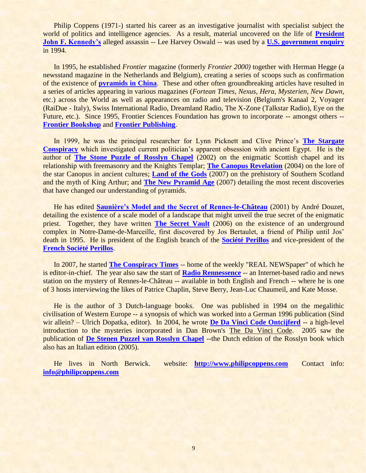Philip Coppens (1971-) started his career as an investigative journalist with specialist subject the world of politics and intelligence agencies. As a result, material uncovered on the life of **[President](http://www.philipcoppens.com/america.html)  [John F. Kennedy's](http://www.philipcoppens.com/america.html)** alleged assassin -- Lee Harvey Oswald -- was used by a **[U.S. government enquiry](http://mcadams.posc.mu.edu/arrb/index79.htm)** in 1994.

In 1995, he established *Frontier* magazine (formerly *Frontier 2000)* together with Herman Hegge (a newsstand magazine in the Netherlands and Belgium), creating a series of scoops such as confirmation of the existence of **[pyramids in China](http://www.philipcoppens.com/china_pyr.html)**. These and other often groundbreaking articles have resulted in a series of articles appearing in various magazines (*Fortean Times*, *Nexus*, *Hera*, *Mysterien*, *New Dawn*, etc.) across the World as well as appearances on radio and television (Belgium's Kanaal 2, Voyager (RaiDue - Italy), Swiss International Radio, Dreamland Radio, The X-Zone (Talkstar Radio), Eye on the Future, etc.). Since 1995, Frontier Sciences Foundation has grown to incorporate -- amongst others -- **[Frontier Bookshop](http://www.frontierbookshop.nl/)** and **[Frontier Publishing](http://www.frontierpublishing.nl/)**.

In 1999, he was the principal researcher for Lynn Picknett and Clive Prince"s **[The Stargate](http://www.picknettprince.com/)  [Conspiracy](http://www.picknettprince.com/)** which investigated current politician"s apparent obsession with ancient Egypt. He is the author of **[The Stone Puzzle of Rosslyn Chapel](http://www.philipcoppens.com/rosslyn.html)** (2002) on the enigmatic Scottish chapel and its relationship with freemasonry and the Knights Templar; **[The Canopus Revelation](http://www.philipcoppens.com/canopus.html)** (2004) on the lore of the star Canopus in ancient cultures; **[Land of the Gods](http://www.philipcoppens.com/landofgods.html)** (2007) on the prehistory of Southern Scotland and the myth of King Arthur; and **[The New Pyramid Age](http://www.philipcoppens.com/newpyramidage.html)** (2007) detailing the most recent discoveries that have changed our understanding of pyramids.

He has edited **[Saunière's Model and the Secret of Rennes-le-Château](http://www.frontierpublishing.nl/smod.htm)** (2001) by André Douzet, detailing the existence of a scale model of a landscape that might unveil the true secret of the enigmatic priest. Together, they have written **[The Secret Vault](http://www.philipcoppens.com/secretvault.html)** (2006) on the existence of an underground complex in Notre-Dame-de-Marceille, first discovered by Jos Bertaulet, a friend of Philip until Jos" death in 1995. He is president of the English branch of the **[Société Perillos](http://www.perillos.com/)** and vice-president of the **[French Société Perillos](http://www.societe-perillos.com/)**.

In 2007, he started **[The Conspiracy Times](http://www.conspiracy-times.com/)** -- home of the weekly "REAL NEWSpaper" of which he is editor-in-chief. The year also saw the start of **[Radio Rennessence](http://www.rennessence.com/)** -- an Internet-based radio and news station on the mystery of Rennes-le-Château -- available in both English and French -- where he is one of 3 hosts interviewing the likes of Patrice Chaplin, Steve Berry, Jean-Luc Chaumeil, and Kate Mosse.

He is the author of 3 Dutch-language books. One was published in 1994 on the megalithic civilisation of Western Europe -- a synopsis of which was worked into a German 1996 publication (Sind wir allein? – Ulrich Dopatka, editor). In 2004, he wrote **[De Da Vinci Code Ontcijferd](http://www.frontierpublishing.nl/dvco.htm)** -- a high-level introduction to the mysteries incorporated in Dan Brown's The Da Vinci Code. 2005 saw the publication of **[De Stenen Puzzel van Rosslyn Chapel](http://www.frontierpublishing.nl/rosn.htm)** --the Dutch edition of the Rosslyn book which also has an Italian edition (2005).

He lives in North Berwick. website: **[http://www.philipcoppens.com](http://www.philipcoppens.com/)** Contact info: **[info@philipcoppens.com](mailto:info@philipcoppens.com)**